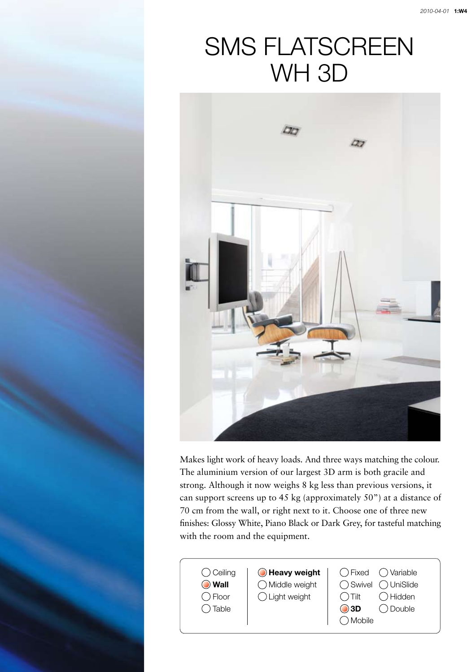## SMS FLATSCREEN WH 3D



Makes light work of heavy loads. And three ways matching the colour. The aluminium version of our largest 3D arm is both gracile and strong. Although it now weighs 8 kg less than previous versions, it can support screens up to 45 kg (approximately 50") at a distance of 70 cm from the wall, or right next to it. Choose one of three new finishes: Glossy White, Piano Black or Dark Grey, for tasteful matching with the room and the equipment.

| () Ceiling<br><b>O</b> Wall<br>) Floor<br>Table | O Heavy weight<br>◯ Middle weight<br>$\bigcirc$ Light weight | $\bigcap$ Fixed $\bigcap$ Variable<br>◯ Swivel ◯ UniSlide<br>Hidden<br>$\bigcap$ Tilt<br>Double<br>$\bigcirc$ 3D<br>Mobile |
|-------------------------------------------------|--------------------------------------------------------------|----------------------------------------------------------------------------------------------------------------------------|
|-------------------------------------------------|--------------------------------------------------------------|----------------------------------------------------------------------------------------------------------------------------|